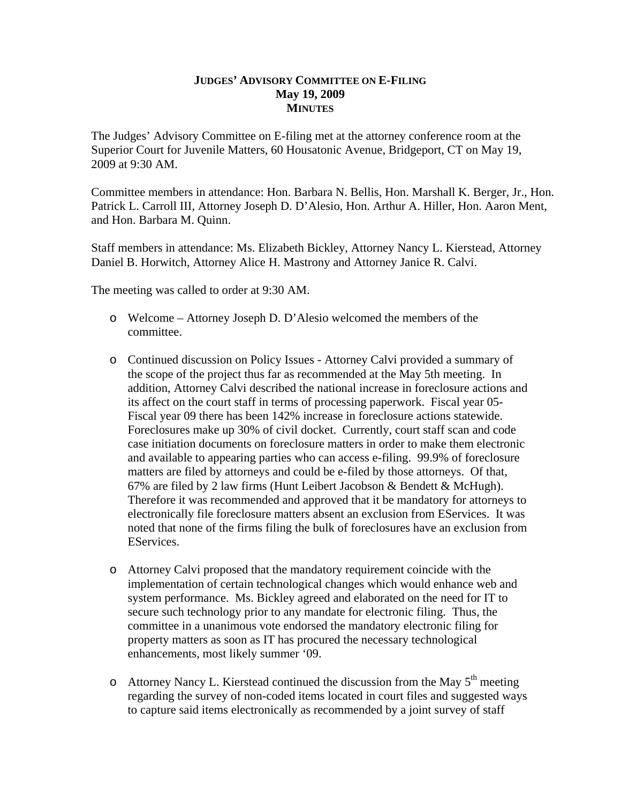## **JUDGES' ADVISORY COMMITTEE ON E-FILING May 19, 2009 MINUTES**

The Judges' Advisory Committee on E-filing met at the attorney conference room at the Superior Court for Juvenile Matters, 60 Housatonic Avenue, Bridgeport, CT on May 19, 2009 at 9:30 AM.

Committee members in attendance: Hon. Barbara N. Bellis, Hon. Marshall K. Berger, Jr., Hon. Patrick L. Carroll III, Attorney Joseph D. D'Alesio, Hon. Arthur A. Hiller, Hon. Aaron Ment, and Hon. Barbara M. Quinn.

Staff members in attendance: Ms. Elizabeth Bickley, Attorney Nancy L. Kierstead, Attorney Daniel B. Horwitch, Attorney Alice H. Mastrony and Attorney Janice R. Calvi.

The meeting was called to order at 9:30 AM.

- o Welcome Attorney Joseph D. D'Alesio welcomed the members of the committee.
- o Continued discussion on Policy Issues Attorney Calvi provided a summary of the scope of the project thus far as recommended at the May 5th meeting. In addition, Attorney Calvi described the national increase in foreclosure actions and its affect on the court staff in terms of processing paperwork. Fiscal year 05- Fiscal year 09 there has been 142% increase in foreclosure actions statewide. Foreclosures make up 30% of civil docket. Currently, court staff scan and code case initiation documents on foreclosure matters in order to make them electronic and available to appearing parties who can access e-filing. 99.9% of foreclosure matters are filed by attorneys and could be e-filed by those attorneys. Of that, 67% are filed by 2 law firms (Hunt Leibert Jacobson & Bendett & McHugh). Therefore it was recommended and approved that it be mandatory for attorneys to electronically file foreclosure matters absent an exclusion from EServices. It was noted that none of the firms filing the bulk of foreclosures have an exclusion from EServices.
- o Attorney Calvi proposed that the mandatory requirement coincide with the implementation of certain technological changes which would enhance web and system performance. Ms. Bickley agreed and elaborated on the need for IT to secure such technology prior to any mandate for electronic filing. Thus, the committee in a unanimous vote endorsed the mandatory electronic filing for property matters as soon as IT has procured the necessary technological enhancements, most likely summer '09.
- $\circ$  Attorney Nancy L. Kierstead continued the discussion from the May  $5<sup>th</sup>$  meeting regarding the survey of non-coded items located in court files and suggested ways to capture said items electronically as recommended by a joint survey of staff